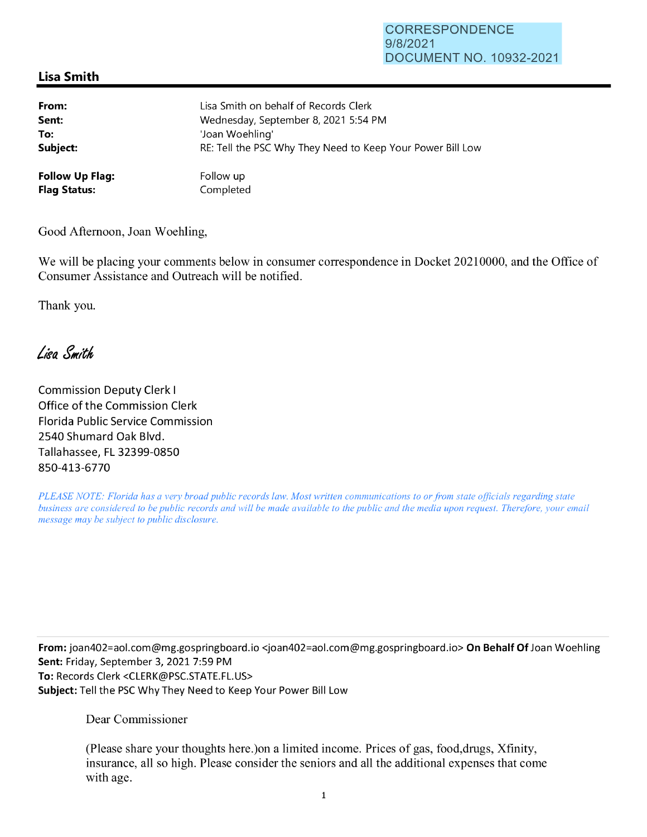## **Lisa Smith**

| From:                  | Lisa Smith on behalf of Records Clerk                      |
|------------------------|------------------------------------------------------------|
| Sent:                  | Wednesday, September 8, 2021 5:54 PM                       |
| To:                    | 'Joan Woehling'                                            |
| Subject:               | RE: Tell the PSC Why They Need to Keep Your Power Bill Low |
| <b>Follow Up Flag:</b> | Follow up                                                  |
| <b>Flag Status:</b>    | Completed                                                  |

Good Afternoon, Joan Woehling,

We will be placing your comments below in consumer correspondence in Docket 20210000, and the Office of Consumer Assistance and Outreach will be notified.

Thank you.

Lisa Smith

Commission Deputy Clerk I Office of the Commission Clerk Florida Public Service Commission 2540 Shumard Oak Blvd. Tallahassee, FL 32399-0850 850-413-6770

*PLEASE NOTE: Florida has a very broad public records law. Most written communications to or from state officials regarding state business are considered to be public records and will be made available to the public and the media upon request. Therefore, your email message may be subject to public disclosure.* 

**From:** joan402=ao1.com@mg.gospringboard.io <joan402=aol.com@mg.gospringboard.io> **On Behalf Of** Joan Woehling **Sent:** Friday, September 3, 2021 7:59 PM **To:** Records Clerk <CLERK@PSC.STATE.FL.US> **Subject:** Tell the PSC Why They Need to Keep Your Power Bill Low

Dear Commissioner

(Please share your thoughts here.)on a limited income. Prices of gas, food,drugs, Xfinity, insurance, all so high. Please consider the seniors and all the additional expenses that come with age.